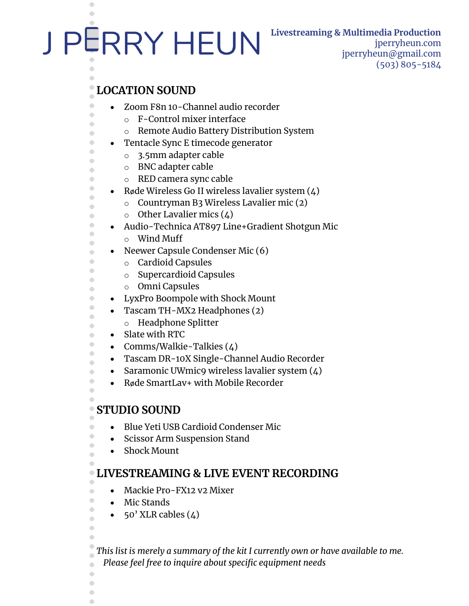# J PERRY HEUN

 $\bullet$ 

 $\bigcirc$ 

 $\bullet$  $\bullet$  $\bullet$  $\begin{array}{c} \bullet \\ \bullet \end{array}$  $\Box$  $\bullet$  $\qquad \qquad \Box$  $\bullet$  $\bullet$  $\qquad \qquad \Box$  $\bullet$  $\bullet$  $\bullet$  $\bullet$  $\bullet$  $\begin{array}{c} \bullet \\ \bullet \end{array}$  $\bullet$  $\qquad \qquad \Box$  $\bullet$  $\bullet$  $\qquad \qquad \Box$  $\bullet$  $\bullet$  $\bullet$  $\qquad \qquad \Box$  $\bigcirc$  $\bigcirc$  $\bullet$  $\bigcirc$  $\bullet$  $\bullet$  $\bullet$ 

### **Livestreaming & Multimedia Production** jperryheun.com

jperryheun@gmail.com (503) 805-5184

## **LOCATION SOUND**

- Zoom F8n 10-Channel audio recorder
	- o F-Control mixer interface
	- o Remote Audio Battery Distribution System
- Tentacle Sync E timecode generator
	- o 3.5mm adapter cable
	- o BNC adapter cable
	- o RED camera sync cable
- Røde Wireless Go II wireless lavalier system  $(4)$ 
	- o Countryman B3 Wireless Lavalier mic (2)
	- $\circ$  Other Lavalier mics (4)
- Audio-Technica AT897 Line+Gradient Shotgun Mic
	- o Wind Muff
- Neewer Capsule Condenser Mic (6)
	- o Cardioid Capsules
	- o Supercardioid Capsules
	- o Omni Capsules
- LyxPro Boompole with Shock Mount
- Tascam TH-MX2 Headphones (2)
	- o Headphone Splitter
- Slate with RTC
- Comms/Walkie-Talkies (4)
- Tascam DR-10X Single-Channel Audio Recorder
- Saramonic UWmic9 wireless lavalier system  $(4)$
- Røde SmartLav+ with Mobile Recorder

## **STUDIO SOUND**

 $\bullet$  $\bullet$  $\bigcirc$  $\bullet$ 

 $\begin{array}{c} \bullet \\ \bullet \end{array}$  $\bullet$  $\bigcirc$  $\bullet$  $\bigcirc$  $\bigcirc$ 

 $\bullet$  $\bullet$  $\bullet$  $\bigcirc$ 

- Blue Yeti USB Cardioid Condenser Mic
- Scissor Arm Suspension Stand
- Shock Mount

#### **LIVESTREAMING & LIVE EVENT RECORDING**  $\bullet$

- Mackie Pro-FX12 v2 Mixer
- Mic Stands
- $50'$  XLR cables  $(4)$

*This list is merely a summary of the kit I currently own or have available to me. Please feel free to inquire about specific equipment needs*  $\bullet$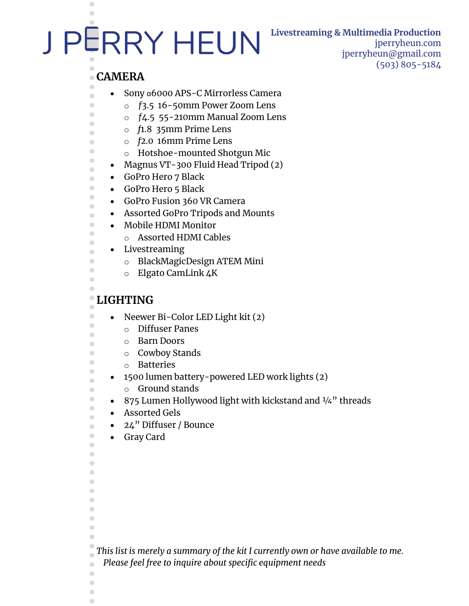## **Livestreaming & Multimedia Production**

jperryheun.com jperryheun@gmail.com (503) 805-5184

#### **CAMERA** Ò

 $\bullet$  $\begin{array}{c} \begin{array}{c} \begin{array}{c} \begin{array}{c} \end{array} \end{array} \end{array} \end{array}$ 

 $\bullet$  $\bullet$  $\begin{array}{c} \bullet \\ \bullet \end{array}$  $\bullet$  $\qquad \qquad \bullet$  $\blacksquare$  $\bullet$  $\begin{array}{c} \bullet \\ \bullet \end{array}$  $\color{red} \bullet$  $\begin{array}{ccc} \bullet & \bullet & \bullet \\ \bullet & \bullet & \bullet \end{array}$  $\qquad \qquad \bullet$  $\bullet$  $\bullet$  $\qquad \qquad \Box$  $\qquad \qquad \Box$  $\qquad \qquad \bullet$  $\qquad \qquad \Box$  $\begin{array}{c} \bullet \\ \bullet \end{array}$  $\begin{array}{c} \begin{array}{c} \begin{array}{c} \begin{array}{c} \end{array} \end{array} \end{array} \end{array} \end{array}$  $\bullet$  $\bigcirc$  $\bullet$ 

- Sony ɑ6000 APS-C Mirrorless Camera
	- o *ƒ*3.5 16-50mm Power Zoom Lens
	- o *ƒ*4.5 55-210mm Manual Zoom Lens
	- o *f*1.8 35mm Prime Lens
	- o *f*2.0 16mm Prime Lens
	- o Hotshoe-mounted Shotgun Mic
- Magnus VT-300 Fluid Head Tripod (2)
- GoPro Hero 7 Black

J PERRY HEUN

- GoPro Hero 5 Black
- GoPro Fusion 360 VR Camera
- Assorted GoPro Tripods and Mounts
- Mobile HDMI Monitor
	- o Assorted HDMI Cables
- Livestreaming
	- o BlackMagicDesign ATEM Mini
	- o Elgato CamLink 4K

#### $\bullet$ **LIGHTING**

 $\bullet$  $\bullet$  $\bullet$  $\qquad \qquad \Box$  $\bullet$  $\bullet$  $\bigcirc$  $\bullet$  $\bullet$  $\qquad \qquad \bullet$  $\bullet$  $\bullet$  $\qquad \qquad \bullet$  $\qquad \qquad \bullet$  $\qquad \qquad \Box$  $\bullet$  $\bigcirc$ 

 $\bullet$  $\bigcirc$  $\bullet$  $\bigcirc$  $\Box$ 

- Neewer Bi-Color LED Light kit (2)
	- o Diffuser Panes
	- o Barn Doors
	- o Cowboy Stands
	- o Batteries
	- 1500 lumen battery-powered LED work lights (2)
	- o Ground stands
- 875 Lumen Hollywood light with kickstand and 1/4" threads
- Assorted Gels
- 24" Diffuser / Bounce
- Gray Card

*This list is merely a summary of the kit I currently own or have available to me.* 

*Please feel free to inquire about specific equipment needs*